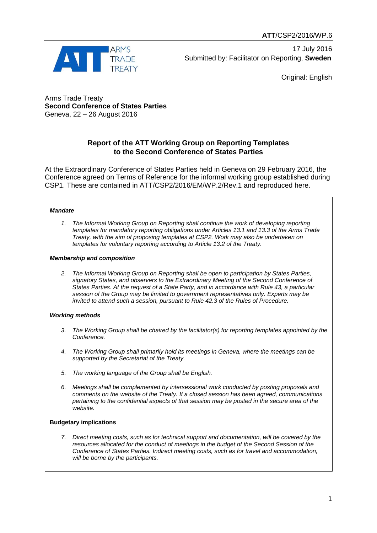

17 July 2016 Submitted by: Facilitator on Reporting, **Sweden**

Original: English

Arms Trade Treaty **Second Conference of States Parties** Geneva, 22 – 26 August 2016

# **Report of the ATT Working Group on Reporting Templates to the Second Conference of States Parties**

At the Extraordinary Conference of States Parties held in Geneva on 29 February 2016, the Conference agreed on Terms of Reference for the informal working group established during CSP1. These are contained in ATT/CSP2/2016/EM/WP.2/Rev.1 and reproduced here.

#### *Mandate*

*1. The Informal Working Group on Reporting shall continue the work of developing reporting templates for mandatory reporting obligations under Articles 13.1 and 13.3 of the Arms Trade Treaty, with the aim of proposing templates at CSP2. Work may also be undertaken on templates for voluntary reporting according to Article 13.2 of the Treaty.*

#### *Membership and composition*

*2. The Informal Working Group on Reporting shall be open to participation by States Parties, signatory States, and observers to the Extraordinary Meeting of the Second Conference of States Parties. At the request of a State Party, and in accordance with Rule 43, a particular session of the Group may be limited to government representatives only. Experts may be invited to attend such a session, pursuant to Rule 42.3 of the Rules of Procedure.*

#### *Working methods*

- *3. The Working Group shall be chaired by the facilitator(s) for reporting templates appointed by the Conference.*
- *4. The Working Group shall primarily hold its meetings in Geneva, where the meetings can be supported by the Secretariat of the Treaty.*
- *5. The working language of the Group shall be English.*
- *6. Meetings shall be complemented by intersessional work conducted by posting proposals and comments on the website of the Treaty. If a closed session has been agreed, communications pertaining to the confidential aspects of that session may be posted in the secure area of the website.*

#### **Budgetary implications**

*7. Direct meeting costs, such as for technical support and documentation, will be covered by the resources allocated for the conduct of meetings in the budget of the Second Session of the Conference of States Parties. Indirect meeting costs, such as for travel and accommodation, will be borne by the participants.*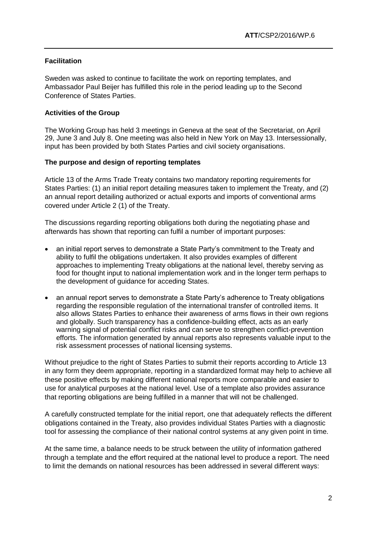## **Facilitation**

Sweden was asked to continue to facilitate the work on reporting templates, and Ambassador Paul Beijer has fulfilled this role in the period leading up to the Second Conference of States Parties.

### **Activities of the Group**

The Working Group has held 3 meetings in Geneva at the seat of the Secretariat, on April 29, June 3 and July 8. One meeting was also held in New York on May 13. Intersessionally, input has been provided by both States Parties and civil society organisations.

### **The purpose and design of reporting templates**

Article 13 of the Arms Trade Treaty contains two mandatory reporting requirements for States Parties: (1) an initial report detailing measures taken to implement the Treaty, and (2) an annual report detailing authorized or actual exports and imports of conventional arms covered under Article 2 (1) of the Treaty.

The discussions regarding reporting obligations both during the negotiating phase and afterwards has shown that reporting can fulfil a number of important purposes:

- an initial report serves to demonstrate a State Party's commitment to the Treaty and ability to fulfil the obligations undertaken. It also provides examples of different approaches to implementing Treaty obligations at the national level, thereby serving as food for thought input to national implementation work and in the longer term perhaps to the development of guidance for acceding States.
- an annual report serves to demonstrate a State Party's adherence to Treaty obligations regarding the responsible regulation of the international transfer of controlled items. It also allows States Parties to enhance their awareness of arms flows in their own regions and globally. Such transparency has a confidence-building effect, acts as an early warning signal of potential conflict risks and can serve to strengthen conflict-prevention efforts. The information generated by annual reports also represents valuable input to the risk assessment processes of national licensing systems.

Without prejudice to the right of States Parties to submit their reports according to Article 13 in any form they deem appropriate, reporting in a standardized format may help to achieve all these positive effects by making different national reports more comparable and easier to use for analytical purposes at the national level. Use of a template also provides assurance that reporting obligations are being fulfilled in a manner that will not be challenged.

A carefully constructed template for the initial report, one that adequately reflects the different obligations contained in the Treaty, also provides individual States Parties with a diagnostic tool for assessing the compliance of their national control systems at any given point in time.

At the same time, a balance needs to be struck between the utility of information gathered through a template and the effort required at the national level to produce a report. The need to limit the demands on national resources has been addressed in several different ways: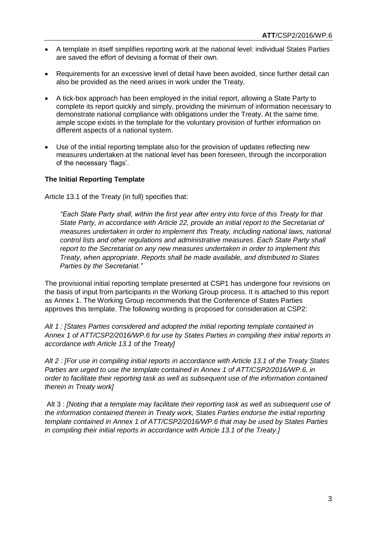- A template in itself simplifies reporting work at the national level: individual States Parties are saved the effort of devising a format of their own.
- Requirements for an excessive level of detail have been avoided, since further detail can also be provided as the need arises in work under the Treaty.
- A tick-box approach has been employed in the initial report, allowing a State Party to complete its report quickly and simply, providing the minimum of information necessary to demonstrate national compliance with obligations under the Treaty. At the same time, ample scope exists in the template for the voluntary provision of further information on different aspects of a national system.
- Use of the initial reporting template also for the provision of updates reflecting new measures undertaken at the national level has been foreseen, through the incorporation of the necessary 'flags'.

## **The Initial Reporting Template**

Article 13.1 of the Treaty (in full) specifies that:

*"Each State Party shall, within the first year after entry into force of this Treaty for that State Party, in accordance with Article 22, provide an initial report to the Secretariat of measures undertaken in order to implement this Treaty, including national laws, national control lists and other regulations and administrative measures. Each State Party shall report to the Secretariat on any new measures undertaken in order to implement this Treaty, when appropriate. Reports shall be made available, and distributed to States Parties by the Secretariat."*

The provisional initial reporting template presented at CSP1 has undergone four revisions on the basis of input from participants in the Working Group process. It is attached to this report as Annex 1. The Working Group recommends that the Conference of States Parties approves this template. The following wording is proposed for consideration at CSP2:

*Alt 1 : [States Parties considered and adopted the initial reporting template contained in Annex 1 of ATT/CSP2/2016/WP.6 for use by States Parties in compiling their initial reports in accordance with Article 13.1 of the Treaty]* 

*Alt 2 : [For use in compiling initial reports in accordance with Article 13.1 of the Treaty States Parties are urged to use the template contained in Annex 1 of ATT/CSP2/2016/WP.6, in order to facilitate their reporting task as well as subsequent use of the information contained therein in Treaty work]* 

Alt 3 : *[Noting that a template may facilitate their reporting task as well as subsequent use of the information contained therein in Treaty work, States Parties endorse the initial reporting template contained in Annex 1 of ATT/CSP2/2016/WP.6 that may be used by States Parties in compiling their initial reports in accordance with Article 13.1 of the Treaty.]*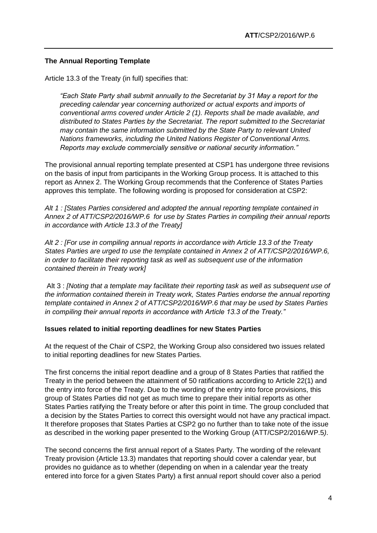# **The Annual Reporting Template**

Article 13.3 of the Treaty (in full) specifies that:

*"Each State Party shall submit annually to the Secretariat by 31 May a report for the preceding calendar year concerning authorized or actual exports and imports of conventional arms covered under Article 2 (1). Reports shall be made available, and distributed to States Parties by the Secretariat. The report submitted to the Secretariat may contain the same information submitted by the State Party to relevant United Nations frameworks, including the United Nations Register of Conventional Arms. Reports may exclude commercially sensitive or national security information."*

The provisional annual reporting template presented at CSP1 has undergone three revisions on the basis of input from participants in the Working Group process. It is attached to this report as Annex 2. The Working Group recommends that the Conference of States Parties approves this template. The following wording is proposed for consideration at CSP2:

*Alt 1 : [States Parties considered and adopted the annual reporting template contained in Annex 2 of ATT/CSP2/2016/WP.6 for use by States Parties in compiling their annual reports in accordance with Article 13.3 of the Treaty]* 

*Alt 2 : [For use in compiling annual reports in accordance with Article 13.3 of the Treaty States Parties are urged to use the template contained in Annex 2 of ATT/CSP2/2016/WP.6, in order to facilitate their reporting task as well as subsequent use of the information contained therein in Treaty work]* 

Alt 3 : *[Noting that a template may facilitate their reporting task as well as subsequent use of the information contained therein in Treaty work, States Parties endorse the annual reporting template contained in Annex 2 of ATT/CSP2/2016/WP.6 that may be used by States Parties in compiling their annual reports in accordance with Article 13.3 of the Treaty."*

### **Issues related to initial reporting deadlines for new States Parties**

At the request of the Chair of CSP2, the Working Group also considered two issues related to initial reporting deadlines for new States Parties.

The first concerns the initial report deadline and a group of 8 States Parties that ratified the Treaty in the period between the attainment of 50 ratifications according to Article 22(1) and the entry into force of the Treaty. Due to the wording of the entry into force provisions, this group of States Parties did not get as much time to prepare their initial reports as other States Parties ratifying the Treaty before or after this point in time. The group concluded that a decision by the States Parties to correct this oversight would not have any practical impact. It therefore proposes that States Parties at CSP2 go no further than to take note of the issue as described in the working paper presented to the Working Group (ATT/CSP2/2016/WP.5*)*.

The second concerns the first annual report of a States Party. The wording of the relevant Treaty provision (Article 13.3) mandates that reporting should cover a calendar year, but provides no guidance as to whether (depending on when in a calendar year the treaty entered into force for a given States Party) a first annual report should cover also a period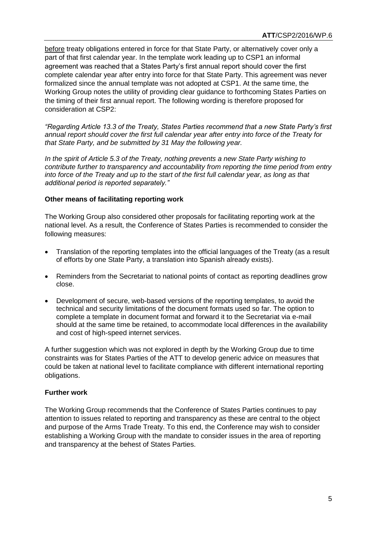before treaty obligations entered in force for that State Party, or alternatively cover only a part of that first calendar year. In the template work leading up to CSP1 an informal agreement was reached that a States Party's first annual report should cover the first complete calendar year after entry into force for that State Party. This agreement was never formalized since the annual template was not adopted at CSP1. At the same time, the Working Group notes the utility of providing clear guidance to forthcoming States Parties on the timing of their first annual report. The following wording is therefore proposed for consideration at CSP2:

*"Regarding Article 13.3 of the Treaty, States Parties recommend that a new State Party's first annual report should cover the first full calendar year after entry into force of the Treaty for that State Party, and be submitted by 31 May the following year.* 

*In the spirit of Article 5.3 of the Treaty, nothing prevents a new State Party wishing to contribute further to transparency and accountability from reporting the time period from entry into force of the Treaty and up to the start of the first full calendar year, as long as that additional period is reported separately."*

## **Other means of facilitating reporting work**

The Working Group also considered other proposals for facilitating reporting work at the national level. As a result, the Conference of States Parties is recommended to consider the following measures:

- Translation of the reporting templates into the official languages of the Treaty (as a result of efforts by one State Party, a translation into Spanish already exists).
- Reminders from the Secretariat to national points of contact as reporting deadlines grow close.
- Development of secure, web-based versions of the reporting templates, to avoid the technical and security limitations of the document formats used so far. The option to complete a template in document format and forward it to the Secretariat via e-mail should at the same time be retained, to accommodate local differences in the availability and cost of high-speed internet services.

A further suggestion which was not explored in depth by the Working Group due to time constraints was for States Parties of the ATT to develop generic advice on measures that could be taken at national level to facilitate compliance with different international reporting obligations.

### **Further work**

The Working Group recommends that the Conference of States Parties continues to pay attention to issues related to reporting and transparency as these are central to the object and purpose of the Arms Trade Treaty. To this end, the Conference may wish to consider establishing a Working Group with the mandate to consider issues in the area of reporting and transparency at the behest of States Parties.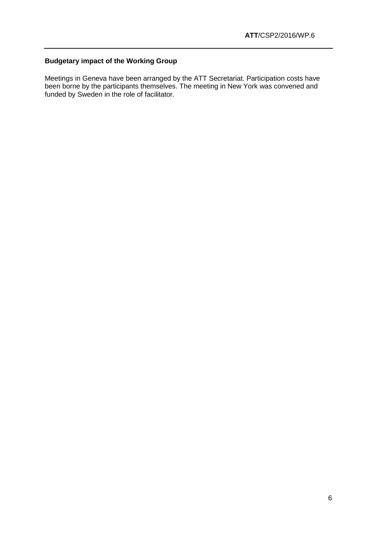# **Budgetary impact of the Working Group**

Meetings in Geneva have been arranged by the ATT Secretariat. Participation costs have been borne by the participants themselves. The meeting in New York was convened and funded by Sweden in the role of facilitator.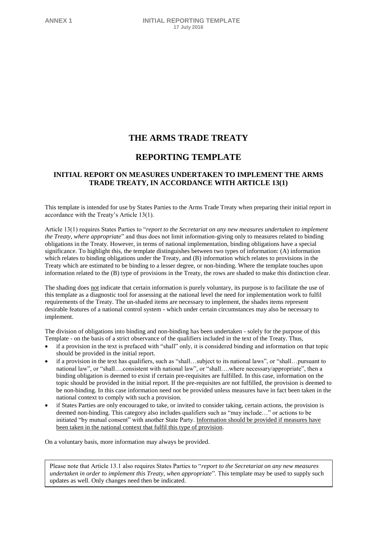# **THE ARMS TRADE TREATY**

# **REPORTING TEMPLATE**

## **INITIAL REPORT ON MEASURES UNDERTAKEN TO IMPLEMENT THE ARMS TRADE TREATY, IN ACCORDANCE WITH ARTICLE 13(1)**

This template is intended for use by States Parties to the Arms Trade Treaty when preparing their initial report in accordance with the Treaty's Article 13(1).

Article 13(1) requires States Parties to "*report to the Secretariat on any new measures undertaken to implement the Treaty, where appropriate*" and thus does not limit information-giving only to measures related to binding obligations in the Treaty. However, in terms of national implementation, binding obligations have a special significance. To highlight this, the template distinguishes between two types of information: (A) information which relates to binding obligations under the Treaty, and (B) information which relates to provisions in the Treaty which are estimated to be binding to a lesser degree, or non-binding. Where the template touches upon information related to the (B) type of provisions in the Treaty, the rows are shaded to make this distinction clear.

The shading does not indicate that certain information is purely voluntary, its purpose is to facilitate the use of this template as a diagnostic tool for assessing at the national level the need for implementation work to fulfil requirements of the Treaty. The un-shaded items are necessary to implement, the shades items represent desirable features of a national control system - which under certain circumstances may also be necessary to implement.

The division of obligations into binding and non-binding has been undertaken - solely for the purpose of this Template - on the basis of a strict observance of the qualifiers included in the text of the Treaty. Thus,

- if a provision in the text is prefaced with "shall" only, it is considered binding and information on that topic should be provided in the initial report.
- if a provision in the text has qualifiers, such as "shall…subject to its national laws", or "shall…pursuant to national law", or "shall….consistent with national law", or "shall….where necessary/appropriate", then a binding obligation is deemed to exist if certain pre-requisites are fulfilled. In this case, information on the topic should be provided in the initial report. If the pre-requisites are not fulfilled, the provision is deemed to be non-binding. In this case information need not be provided unless measures have in fact been taken in the national context to comply with such a provision.
- if States Parties are only encouraged to take, or invited to consider taking, certain actions, the provision is deemed non-binding. This category also includes qualifiers such as "may include…" or actions to be initiated "by mutual consent" with another State Party. Information should be provided if measures have been taken in the national context that fulfil this type of provision.

On a voluntary basis, more information may always be provided.

Please note that Article 13.1 also requires States Parties to "*report to the Secretariat on any new measures undertaken in order to implement this Treaty, when appropriate*". This template may be used to supply such updates as well. Only changes need then be indicated.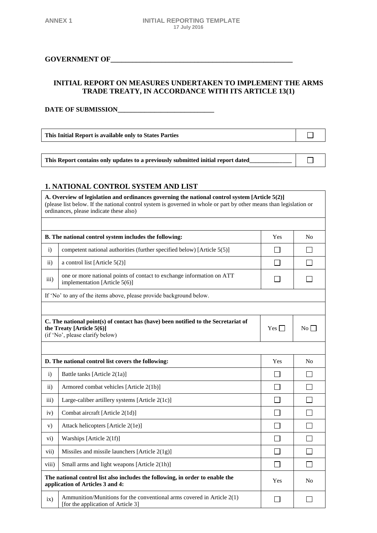#### GOVERNMENT OF

## **INITIAL REPORT ON MEASURES UNDERTAKEN TO IMPLEMENT THE ARMS TRADE TREATY, IN ACCORDANCE WITH ITS ARTICLE 13(1)**

#### DATE OF SUBMISSION

**This Initial Report is available only to States Parties**

 $\Box$ 

 $\rm No$ 

 $\Box$ 

 $\Box$ 

 $\Box$ 

 $\Box$  $\Box$ 

 $\Box$ 

 $\Box$ 

| This Report contains only updates to a previously submitted initial report dated_ |  |  |
|-----------------------------------------------------------------------------------|--|--|
|-----------------------------------------------------------------------------------|--|--|

#### **1. NATIONAL CONTROL SYSTEM AND LIST**

v) Attack helicopters [Article 2(1e)]

vi) Warships [Article 2(1f)]

**A. Overview of legislation and ordinances governing the national control system [Article 5(2)]** (please list below. If the national control system is governed in whole or part by other means than legislation or ordinances, please indicate these also)

|                     | B. The national control system includes the following:                                                                                             | Yes   | N <sub>o</sub>   |
|---------------------|----------------------------------------------------------------------------------------------------------------------------------------------------|-------|------------------|
| $\ddot{i}$          | competent national authorities (further specified below) [Article 5(5)]                                                                            |       |                  |
| $\ddot{\textbf{i}}$ | a control list [Article $5(2)$ ]                                                                                                                   |       |                  |
| iii)                | one or more national points of contact to exchange information on ATT<br>implementation [Article 5(6)]                                             |       |                  |
|                     | If 'No' to any of the items above, please provide background below.                                                                                |       |                  |
|                     |                                                                                                                                                    |       |                  |
|                     | C. The national point(s) of contact has (have) been notified to the Secretariat of<br>the Treaty [Article 5(6)]<br>(if 'No', please clarify below) | $Yes$ | $\overline{N}$ o |
|                     |                                                                                                                                                    |       |                  |
|                     | D. The national control list covers the following:                                                                                                 | Yes   | N <sub>0</sub>   |
| $\mathbf{i}$        | Battle tanks [Article 2(1a)]                                                                                                                       |       |                  |
| $\mathbf{ii}$       | Armored combat vehicles [Article 2(1b)]                                                                                                            |       |                  |
| iii)                | Large-caliber artillery systems [Article $2(1c)$ ]                                                                                                 |       |                  |
| iv)                 | Combat aircraft [Article 2(1d)]                                                                                                                    |       |                  |

| vii)  | Missiles and missile launchers [Article $2(1g)$ ]                                                                 |     |
|-------|-------------------------------------------------------------------------------------------------------------------|-----|
| viii) | Small arms and light weapons [Article $2(1h)$ ]                                                                   |     |
|       | The national control list also includes the following, in order to enable the<br>application of Articles 3 and 4: | Yes |
| ix)   | Ammunition/Munitions for the conventional arms covered in Article 2(1)                                            |     |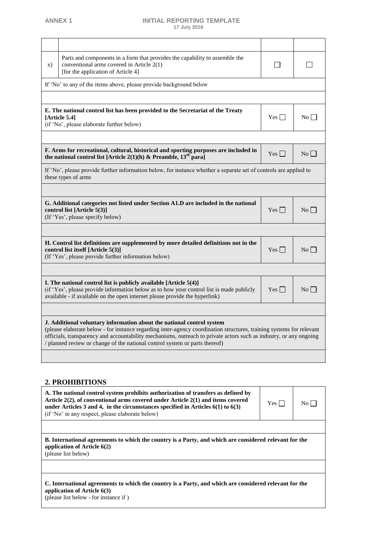| X) | Parts and components in a form that provides the capability to assemble the<br>conventional arms covered in Article 2(1)<br>[for the application of Article 4]                                                                                                                                                                                                                                     |            |                  |
|----|----------------------------------------------------------------------------------------------------------------------------------------------------------------------------------------------------------------------------------------------------------------------------------------------------------------------------------------------------------------------------------------------------|------------|------------------|
|    | If 'No' to any of the items above, please provide background below                                                                                                                                                                                                                                                                                                                                 |            |                  |
|    |                                                                                                                                                                                                                                                                                                                                                                                                    |            |                  |
|    | E. The national control list has been provided to the Secretariat of the Treaty<br>[Article 5.4]<br>(if 'No', please elaborate further below)                                                                                                                                                                                                                                                      | $Yes$      | No               |
|    |                                                                                                                                                                                                                                                                                                                                                                                                    |            |                  |
|    | F. Arms for recreational, cultural, historical and sporting purposes are included in<br>the national control list [Article 2(1)(h) & Preamble, $13th$ para]                                                                                                                                                                                                                                        | $Yes \Box$ | $\overline{N_0}$ |
|    | If 'No', please provide further information below, for instance whether a separate set of controls are applied to<br>these types of arms                                                                                                                                                                                                                                                           |            |                  |
|    |                                                                                                                                                                                                                                                                                                                                                                                                    |            |                  |
|    | G. Additional categories not listed under Section A1.D are included in the national<br>control list [Article 5(3)]<br>(If 'Yes', please specify below)                                                                                                                                                                                                                                             | $Yes \Box$ | $N_O \Box$       |
|    |                                                                                                                                                                                                                                                                                                                                                                                                    |            |                  |
|    | H. Control list definitions are supplemented by more detailed definitions not in the<br>control list itself [Article 5(3)]<br>(If 'Yes', please provide further information below)                                                                                                                                                                                                                 | $Yes \Box$ | $N_O$            |
|    |                                                                                                                                                                                                                                                                                                                                                                                                    |            |                  |
|    | I. The national control list is publicly available [Article $5(4)$ ]<br>(if 'Yes', please provide information below as to how your control list is made publicly<br>available - if available on the open internet please provide the hyperlink)                                                                                                                                                    | $Yes \Box$ | $\overline{N_0}$ |
|    |                                                                                                                                                                                                                                                                                                                                                                                                    |            |                  |
|    | J. Additional voluntary information about the national control system<br>(please elaborate below - for instance regarding inter-agency coordination structures, training systems for relevant<br>officials, transparency and accountability mechanisms, outreach to private actors such as industry, or any ongoing<br>/ planned review or change of the national control system or parts thereof) |            |                  |
|    |                                                                                                                                                                                                                                                                                                                                                                                                    |            |                  |

# **2. PROHIBITIONS**

| A. The national control system prohibits authorization of transfers as defined by<br>Article $2(2)$ , of conventional arms covered under Article $2(1)$ and items covered<br>under Articles 3 and 4, in the circumstances specified in Articles $6(1)$ to $6(3)$<br>(if 'No' in any respect, please elaborate below) | Yes l | No L |
|----------------------------------------------------------------------------------------------------------------------------------------------------------------------------------------------------------------------------------------------------------------------------------------------------------------------|-------|------|
|                                                                                                                                                                                                                                                                                                                      |       |      |
| B. International agreements to which the country is a Party, and which are considered relevant for the<br>application of Article $6(2)$<br>(please list below)                                                                                                                                                       |       |      |
|                                                                                                                                                                                                                                                                                                                      |       |      |
| C. International agreements to which the country is a Party, and which are considered relevant for the<br>application of Article $6(3)$<br>(please list below - for instance if)                                                                                                                                     |       |      |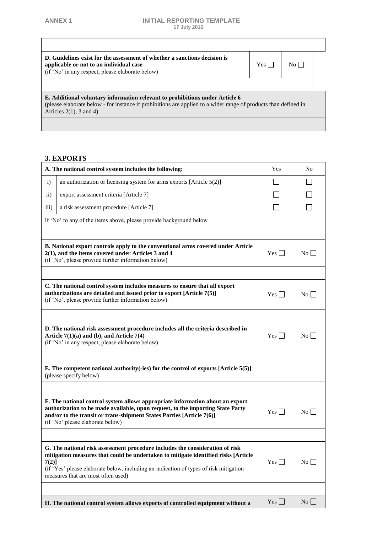| D. Guidelines exist for the assessment of whether a sanctions decision is<br>applicable or not to an individual case<br>(if 'No' in any respect, please elaborate below)                                                             | Yes I | No L |  |
|--------------------------------------------------------------------------------------------------------------------------------------------------------------------------------------------------------------------------------------|-------|------|--|
| <b>E.</b> Additional voluntary information relevant to prohibitions under Article 6<br>(please elaborate below - for instance if prohibitions are applied to a wider range of products than defined in<br>Articles $2(1)$ , 3 and 4) |       |      |  |

# **3. EXPORTS**

| A. The national control system includes the following: |                                                                                                                                                                                                                                                                                                    | Yes        | N <sub>o</sub>  |
|--------------------------------------------------------|----------------------------------------------------------------------------------------------------------------------------------------------------------------------------------------------------------------------------------------------------------------------------------------------------|------------|-----------------|
| i)                                                     | an authorization or licensing system for arms exports [Article 5(2)]                                                                                                                                                                                                                               |            |                 |
| ii)                                                    | export assessment criteria [Article 7]                                                                                                                                                                                                                                                             |            |                 |
| iii)                                                   | a risk assessment procedure [Article 7]                                                                                                                                                                                                                                                            |            |                 |
|                                                        | If 'No' to any of the items above, please provide background below                                                                                                                                                                                                                                 |            |                 |
|                                                        |                                                                                                                                                                                                                                                                                                    |            |                 |
|                                                        | B. National export controls apply to the conventional arms covered under Article<br>2(1), and the items covered under Articles 3 and 4<br>(if 'No', please provide further information below)                                                                                                      | $Yes \Box$ | No              |
|                                                        |                                                                                                                                                                                                                                                                                                    |            |                 |
|                                                        | C. The national control system includes measures to ensure that all export<br>authorizations are detailed and issued prior to export [Article $7(5)$ ]<br>(if 'No', please provide further information below)                                                                                      | $Yes \Box$ | No <sub>l</sub> |
|                                                        |                                                                                                                                                                                                                                                                                                    |            |                 |
|                                                        | D. The national risk assessment procedure includes all the criteria described in<br>Article $7(1)(a)$ and (b), and Article $7(4)$<br>Yes $\Box$<br>No<br>(if 'No' in any respect, please elaborate below)                                                                                          |            |                 |
|                                                        |                                                                                                                                                                                                                                                                                                    |            |                 |
|                                                        | E. The competent national authority(-ies) for the control of exports [Article 5(5)]<br>(please specify below)                                                                                                                                                                                      |            |                 |
|                                                        |                                                                                                                                                                                                                                                                                                    |            |                 |
|                                                        | F. The national control system allows appropriate information about an export<br>authorization to be made available, upon request, to the importing State Party<br>and/or to the transit or trans-shipment States Parties [Article 7(6)]<br>(if 'No' please elaborate below)                       | $Yes \Box$ | No              |
|                                                        |                                                                                                                                                                                                                                                                                                    |            |                 |
| 7(2)]                                                  | G. The national risk assessment procedure includes the consideration of risk<br>mitigation measures that could be undertaken to mitigate identified risks [Article]<br>(if 'Yes' please elaborate below, including an indication of types of risk mitigation<br>measures that are most often used) | Yes $\Box$ | $No \Box$       |
|                                                        |                                                                                                                                                                                                                                                                                                    |            |                 |
|                                                        | H. The national control system allows exports of controlled equipment without a                                                                                                                                                                                                                    | Yes $\Box$ | No              |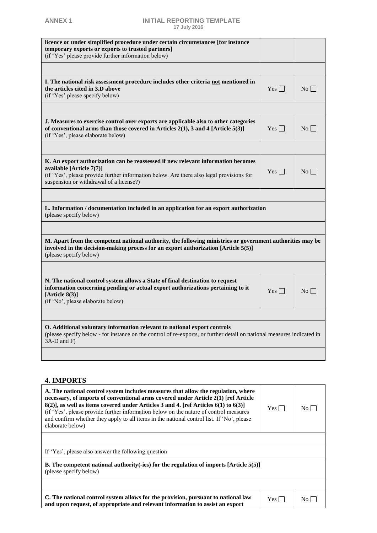| licence or under simplified procedure under certain circumstances [for instance<br>temporary exports or exports to trusted partners]<br>(if 'Yes' please provide further information below)                                                         |                 |             |
|-----------------------------------------------------------------------------------------------------------------------------------------------------------------------------------------------------------------------------------------------------|-----------------|-------------|
|                                                                                                                                                                                                                                                     |                 |             |
| I. The national risk assessment procedure includes other criteria not mentioned in<br>the articles cited in 3.D above<br>(if 'Yes' please specify below)                                                                                            | $Yes \mid \mid$ | No          |
|                                                                                                                                                                                                                                                     |                 |             |
| J. Measures to exercise control over exports are applicable also to other categories<br>of conventional arms than those covered in Articles $2(1)$ , 3 and 4 [Article $5(3)$ ]<br>(if 'Yes', please elaborate below)                                | Yes $\Box$      | $No$ $\Box$ |
|                                                                                                                                                                                                                                                     |                 |             |
| K. An export authorization can be reassessed if new relevant information becomes<br>available [Article 7(7)]<br>(if 'Yes', please provide further information below. Are there also legal provisions for<br>suspension or withdrawal of a license?) | $Yes$           | No          |
|                                                                                                                                                                                                                                                     |                 |             |
| L. Information / documentation included in an application for an export authorization<br>(please specify below)                                                                                                                                     |                 |             |
|                                                                                                                                                                                                                                                     |                 |             |
| M. Apart from the competent national authority, the following ministries or government authorities may be<br>involved in the decision-making process for an export authorization [Article 5(5)]<br>(please specify below)                           |                 |             |
|                                                                                                                                                                                                                                                     |                 |             |
| N. The national control system allows a State of final destination to request<br>information concerning pending or actual export authorizations pertaining to it<br>[Article $8(3)$ ]<br>(if 'No', please elaborate below)                          | Yes $\Box$      | No          |
|                                                                                                                                                                                                                                                     |                 |             |
| O. Additional voluntary information relevant to national export controls<br>(please specify below - for instance on the control of re-exports, or further detail on national measures indicated in<br>3A-D and F)                                   |                 |             |
|                                                                                                                                                                                                                                                     |                 |             |

# **4. IMPORTS**

| A. The national control system includes measures that allow the regulation, where<br>necessary, of imports of conventional arms covered under Article 2(1) [ref Article<br>$8(2)$ ], as well as items covered under Articles 3 and 4. [ref Articles 6(1) to 6(3)]<br>(if 'Yes', please provide further information below on the nature of control measures<br>and confirm whether they apply to all items in the national control list. If 'No', please<br>elaborate below) | $Yes \Box$ | No l |
|-----------------------------------------------------------------------------------------------------------------------------------------------------------------------------------------------------------------------------------------------------------------------------------------------------------------------------------------------------------------------------------------------------------------------------------------------------------------------------|------------|------|
|                                                                                                                                                                                                                                                                                                                                                                                                                                                                             |            |      |
| If 'Yes', please also answer the following question                                                                                                                                                                                                                                                                                                                                                                                                                         |            |      |
| <b>B.</b> The competent national authority (-ies) for the regulation of imports [Article $5(5)$ ]<br>(please specify below)                                                                                                                                                                                                                                                                                                                                                 |            |      |
|                                                                                                                                                                                                                                                                                                                                                                                                                                                                             |            |      |
| C. The national control system allows for the provision, pursuant to national law<br>and upon request, of appropriate and relevant information to assist an export                                                                                                                                                                                                                                                                                                          | Yes        | No.  |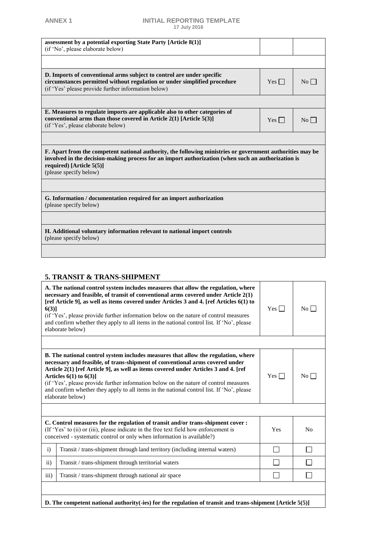**assessment by a potential exporting State Party [Article 8(1)]** (if 'No', please elaborate below)

| D. Imports of conventional arms subject to control are under specific<br>circumstances permitted without regulation or under simplified procedure<br>(if 'Yes' please provide further information below) | Yes |  |
|----------------------------------------------------------------------------------------------------------------------------------------------------------------------------------------------------------|-----|--|
|                                                                                                                                                                                                          |     |  |
| E. Measures to regulate imports are applicable also to other categories of<br>conventional arms than those covered in Article $2(1)$ [Article $5(3)$ ]<br>(if 'Yes', please elaborate below)             | Yes |  |
|                                                                                                                                                                                                          |     |  |
| F. Apart from the competent national authority, the following ministries or government authorities may be                                                                                                |     |  |

**involved in the decision-making process for an import authorization (when such an authorization is required) [Article 5(5)]** (please specify below)

**G. Information / documentation required for an import authorization**  (please specify below)

**H. Additional voluntary information relevant to national import controls** (please specify below)

# **5. TRANSIT & TRANS-SHIPMENT**

| A. The national control system includes measures that allow the regulation, where<br>necessary and feasible, of transit of conventional arms covered under Article 2(1)<br>[ref Article 9], as well as items covered under Articles 3 and 4. [ref Articles 6(1) to<br>6(3)]<br>(if 'Yes', please provide further information below on the nature of control measures<br>and confirm whether they apply to all items in the national control list. If 'No', please<br>elaborate below)             | Yes $\Box$ | $\overline{N_{0}}$ |
|---------------------------------------------------------------------------------------------------------------------------------------------------------------------------------------------------------------------------------------------------------------------------------------------------------------------------------------------------------------------------------------------------------------------------------------------------------------------------------------------------|------------|--------------------|
|                                                                                                                                                                                                                                                                                                                                                                                                                                                                                                   |            |                    |
| B. The national control system includes measures that allow the regulation, where<br>necessary and feasible, of trans-shipment of conventional arms covered under<br>Article 2(1) [ref Article 9], as well as items covered under Articles 3 and 4. [ref<br>Articles $6(1)$ to $6(3)$ ]<br>(if 'Yes', please provide further information below on the nature of control measures<br>and confirm whether they apply to all items in the national control list. If 'No', please<br>elaborate below) | Yes $\Box$ | No l               |
|                                                                                                                                                                                                                                                                                                                                                                                                                                                                                                   |            |                    |
| C. Control measures for the regulation of transit and/or trans-shipment cover:<br>(If 'Yes' to (ii) or (iii), please indicate in the free text field how enforcement is<br>conceived - systematic control or only when information is available?)                                                                                                                                                                                                                                                 | Yes        | N <sub>0</sub>     |
| Transit / trans-shipment through land territory (including internal waters)<br>$\mathbf{i}$                                                                                                                                                                                                                                                                                                                                                                                                       | $\Box$     |                    |
| Transit / trans-shipment through territorial waters<br>$\rm ii)$                                                                                                                                                                                                                                                                                                                                                                                                                                  |            |                    |
| $\overline{iii}$<br>Transit / trans-shipment through national air space                                                                                                                                                                                                                                                                                                                                                                                                                           |            |                    |
|                                                                                                                                                                                                                                                                                                                                                                                                                                                                                                   |            |                    |
| D. The competent national authority(-ies) for the regulation of transit and trans-shipment [Article 5(5)]                                                                                                                                                                                                                                                                                                                                                                                         |            |                    |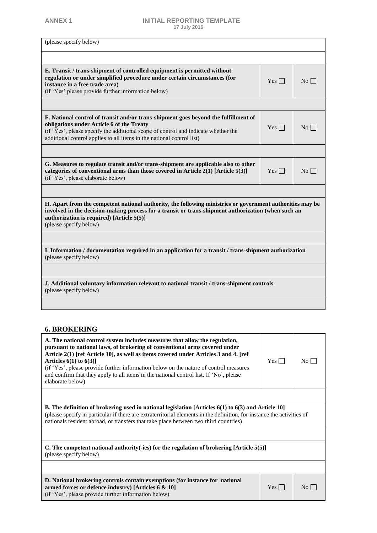| (please specify below)                                                                                                                                                                                                                                                                          |            |                    |
|-------------------------------------------------------------------------------------------------------------------------------------------------------------------------------------------------------------------------------------------------------------------------------------------------|------------|--------------------|
|                                                                                                                                                                                                                                                                                                 |            |                    |
| E. Transit / trans-shipment of controlled equipment is permitted without<br>regulation or under simplified procedure under certain circumstances (for<br>instance in a free trade area)<br>(if 'Yes' please provide further information below)                                                  | $Yes \Box$ | $\overline{N_{0}}$ |
|                                                                                                                                                                                                                                                                                                 |            |                    |
| F. National control of transit and/or trans-shipment goes beyond the fulfillment of<br>obligations under Article 6 of the Treaty<br>(if 'Yes', please specify the additional scope of control and indicate whether the<br>additional control applies to all items in the national control list) | $Yes \Box$ | N <sub>0</sub>     |
|                                                                                                                                                                                                                                                                                                 |            |                    |
| G. Measures to regulate transit and/or trans-shipment are applicable also to other<br>categories of conventional arms than those covered in Article $2(1)$ [Article $5(3)$ ]<br>(if 'Yes', please elaborate below)                                                                              | $Yes \Box$ | $N_O$              |
|                                                                                                                                                                                                                                                                                                 |            |                    |
| H. Apart from the competent national authority, the following ministries or government authorities may be<br>involved in the decision-making process for a transit or trans-shipment authorization (when such an<br>authorization is required) [Article 5(5)]<br>(please specify below)         |            |                    |
|                                                                                                                                                                                                                                                                                                 |            |                    |
| I. Information / documentation required in an application for a transit / trans-shipment authorization<br>(please specify below)                                                                                                                                                                |            |                    |
|                                                                                                                                                                                                                                                                                                 |            |                    |
| <b>J.</b> Additional voluntary information relevant to national transit / trans-shipment controls<br>(please specify below)                                                                                                                                                                     |            |                    |
|                                                                                                                                                                                                                                                                                                 |            |                    |
|                                                                                                                                                                                                                                                                                                 |            |                    |

# **6. BROKERING**

| A. The national control system includes measures that allow the regulation,<br>pursuant to national laws, of brokering of conventional arms covered under<br>Article 2(1) [ref Article 10], as well as items covered under Articles 3 and 4. [ref<br>Articles $6(1)$ to $6(3)$ ]<br>(if 'Yes', please provide further information below on the nature of control measures<br>and confirm that they apply to all items in the national control list. If 'No', please<br>elaborate below) | Yes l | No l               |
|-----------------------------------------------------------------------------------------------------------------------------------------------------------------------------------------------------------------------------------------------------------------------------------------------------------------------------------------------------------------------------------------------------------------------------------------------------------------------------------------|-------|--------------------|
|                                                                                                                                                                                                                                                                                                                                                                                                                                                                                         |       |                    |
| B. The definition of brokering used in national legislation [Articles $6(1)$ to $6(3)$ and Article 10]<br>(please specify in particular if there are extraterritorial elements in the definition, for instance the activities of<br>nationals resident abroad, or transfers that take place between two third countries)                                                                                                                                                                |       |                    |
|                                                                                                                                                                                                                                                                                                                                                                                                                                                                                         |       |                    |
| C. The competent national authority(-ies) for the regulation of brokering [Article $5(5)$ ]<br>(please specify below)                                                                                                                                                                                                                                                                                                                                                                   |       |                    |
|                                                                                                                                                                                                                                                                                                                                                                                                                                                                                         |       |                    |
| <b>D.</b> National brokering controls contain exemptions (for instance for national<br>armed forces or defence industry) [Articles $6 \& 10$ ]<br>(if 'Yes', please provide further information below)                                                                                                                                                                                                                                                                                  | Yes   | $\overline{N_{0}}$ |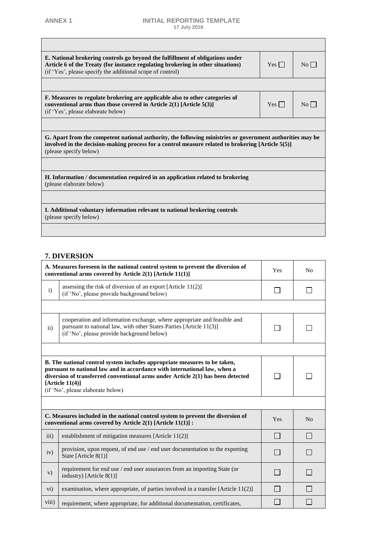| E. National brokering controls go beyond the fulfillment of obligations under<br>$Yes \Box$<br>Article 6 of the Treaty (for instance regulating brokering in other situations)<br>(if 'Yes', please specify the additional scope of control) |            | $\overline{N_{0}}$ |
|----------------------------------------------------------------------------------------------------------------------------------------------------------------------------------------------------------------------------------------------|------------|--------------------|
|                                                                                                                                                                                                                                              |            |                    |
| F. Measures to regulate brokering are applicable also to other categories of<br>conventional arms than those covered in Article $2(1)$ [Article $5(3)$ ]<br>(if 'Yes', please elaborate below)                                               | $Yes \Box$ | $\overline{N_0}$   |
|                                                                                                                                                                                                                                              |            |                    |
| G. Apart from the competent national authority, the following ministries or government authorities may be<br>involved in the decision-making process for a control measure related to brokering [Article 5(5)]<br>(please specify below)     |            |                    |
|                                                                                                                                                                                                                                              |            |                    |
| H. Information / documentation required in an application related to brokering<br>(please elaborate below)                                                                                                                                   |            |                    |
|                                                                                                                                                                                                                                              |            |                    |
| <b>I.</b> Additional voluntary information relevant to national brokering controls<br>(please specify below)                                                                                                                                 |            |                    |
|                                                                                                                                                                                                                                              |            |                    |

# **7. DIVERSION**

|                     | A. Measures foreseen in the national control system to prevent the diversion of<br>Yes<br>conventional arms covered by Article 2(1) [Article 11(1)]                                                                                                                                                  |     | N <sub>0</sub> |
|---------------------|------------------------------------------------------------------------------------------------------------------------------------------------------------------------------------------------------------------------------------------------------------------------------------------------------|-----|----------------|
| i)                  | assessing the risk of diversion of an export [Article 11(2)]<br>(if 'No', please provide background below)                                                                                                                                                                                           |     |                |
|                     |                                                                                                                                                                                                                                                                                                      |     |                |
| $\ddot{\mathbf{i}}$ | cooperation and information exchange, where appropriate and feasible and<br>pursuant to national law, with other States Parties [Article 11(3)]<br>(if 'No', please provide background below)                                                                                                        |     |                |
|                     |                                                                                                                                                                                                                                                                                                      |     |                |
|                     | B. The national control system includes appropriate measures to be taken,<br>pursuant to national law and in accordance with international law, when a<br>diversion of transferred conventional arms under Article 2(1) has been detected<br>[Article $11(4)$ ]<br>(if 'No', please elaborate below) |     |                |
|                     |                                                                                                                                                                                                                                                                                                      |     |                |
|                     | C. Measures included in the national control system to prevent the diversion of<br>conventional arms covered by Article 2(1) [Article 11(1)] :                                                                                                                                                       | Yes | N <sub>0</sub> |
| iii)                | establishment of mitigation measures [Article 11(2)]                                                                                                                                                                                                                                                 |     |                |
| iv)                 | provision, upon request, of end use / end user documentation to the exporting<br>State [Article 8(1)]                                                                                                                                                                                                |     |                |
| V)                  | requirement for end use / end user assurances from an importing State (or<br>industry) [Article $8(1)$ ]                                                                                                                                                                                             |     |                |
| $\rm vi)$           | examination, where appropriate, of parties involved in a transfer $[Article 11(2)]$                                                                                                                                                                                                                  |     |                |
| viii)               | requirement, where appropriate, for additional documentation, certificates,                                                                                                                                                                                                                          |     |                |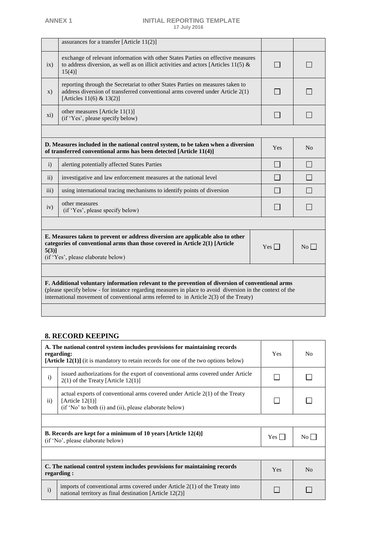|                                                                                                                                                                                                                                                                                                           | assurances for a transfer [Article 11(2)]                                                                                                                                                           |              |                 |
|-----------------------------------------------------------------------------------------------------------------------------------------------------------------------------------------------------------------------------------------------------------------------------------------------------------|-----------------------------------------------------------------------------------------------------------------------------------------------------------------------------------------------------|--------------|-----------------|
| ix)                                                                                                                                                                                                                                                                                                       | exchange of relevant information with other States Parties on effective measures<br>to address diversion, as well as on illicit activities and actors [Articles 11(5) $\&$<br>$15(4)$ ]             |              |                 |
| $\mathbf{x})$                                                                                                                                                                                                                                                                                             | reporting through the Secretariat to other States Parties on measures taken to<br>address diversion of transferred conventional arms covered under Article 2(1)<br>[Articles 11(6) & 13(2)]         |              |                 |
| xi)                                                                                                                                                                                                                                                                                                       | other measures [Article $11(1)$ ]<br>(if 'Yes', please specify below)                                                                                                                               | H            |                 |
|                                                                                                                                                                                                                                                                                                           |                                                                                                                                                                                                     |              |                 |
|                                                                                                                                                                                                                                                                                                           | D. Measures included in the national control system, to be taken when a diversion<br>of transferred conventional arms has been detected [Article 11(4)]                                             | Yes          | N <sub>o</sub>  |
| $\mathbf{i}$                                                                                                                                                                                                                                                                                              | alerting potentially affected States Parties                                                                                                                                                        | $\mathbf{I}$ |                 |
| $\mathbf{ii}$                                                                                                                                                                                                                                                                                             | investigative and law enforcement measures at the national level                                                                                                                                    |              |                 |
| iii)                                                                                                                                                                                                                                                                                                      | using international tracing mechanisms to identify points of diversion                                                                                                                              |              |                 |
| iv)                                                                                                                                                                                                                                                                                                       | other measures<br>(if 'Yes', please specify below)                                                                                                                                                  |              |                 |
|                                                                                                                                                                                                                                                                                                           |                                                                                                                                                                                                     |              |                 |
| $5(3)$ ]                                                                                                                                                                                                                                                                                                  | E. Measures taken to prevent or address diversion are applicable also to other<br>categories of conventional arms than those covered in Article 2(1) [Article<br>(if 'Yes', please elaborate below) | $Yes \Box$   | No <sub>1</sub> |
|                                                                                                                                                                                                                                                                                                           |                                                                                                                                                                                                     |              |                 |
| F. Additional voluntary information relevant to the prevention of diversion of conventional arms<br>(please specify below - for instance regarding measures in place to avoid diversion in the context of the<br>international movement of conventional arms referred to in Article $2(3)$ of the Treaty) |                                                                                                                                                                                                     |              |                 |
|                                                                                                                                                                                                                                                                                                           |                                                                                                                                                                                                     |              |                 |

# **8. RECORD KEEPING**

|                                                                                                                       | A. The national control system includes provisions for maintaining records<br>Yes<br>regarding:<br>$[Article 12(1)]$ (it is mandatory to retain records for one of the two options below) |            | No             |
|-----------------------------------------------------------------------------------------------------------------------|-------------------------------------------------------------------------------------------------------------------------------------------------------------------------------------------|------------|----------------|
| i)                                                                                                                    | issued authorizations for the export of conventional arms covered under Article<br>$2(1)$ of the Treaty [Article 12(1)]                                                                   |            |                |
| $\rm ii)$                                                                                                             | actual exports of conventional arms covered under Article $2(1)$ of the Treaty<br>[Article $12(1)$ ]<br>(if 'No' to both (i) and (ii), please elaborate below)                            |            |                |
|                                                                                                                       |                                                                                                                                                                                           |            |                |
| B. Records are kept for a minimum of 10 years [Article 12(4)]<br>Yes    <br>No l<br>(if 'No', please elaborate below) |                                                                                                                                                                                           |            |                |
|                                                                                                                       |                                                                                                                                                                                           |            |                |
|                                                                                                                       | C. The national control system includes provisions for maintaining records<br>regarding:                                                                                                  | <b>Yes</b> | N <sub>0</sub> |
| $\mathbf{i}$                                                                                                          | imports of conventional arms covered under Article $2(1)$ of the Treaty into<br>national territory as final destination [Article $12(2)$ ]                                                |            |                |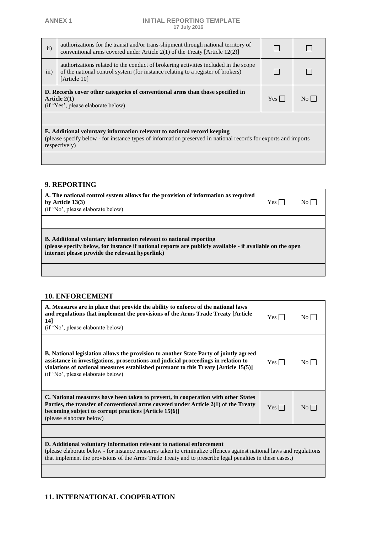| authorizations for the transit and/or trans-shipment through national territory of<br>$\rm ii)$<br>conventional arms covered under Article $2(1)$ of the Treaty [Article 12(2)]                                    |  |     |      |
|--------------------------------------------------------------------------------------------------------------------------------------------------------------------------------------------------------------------|--|-----|------|
| authorizations related to the conduct of brokering activities included in the scope<br>$\overline{iii}$<br>of the national control system (for instance relating to a register of brokers)<br>[Article 10]         |  |     |      |
| D. Records cover other categories of conventional arms than those specified in<br>Article $2(1)$<br>(if 'Yes', please elaborate below)                                                                             |  | Yes | No l |
|                                                                                                                                                                                                                    |  |     |      |
| <b>E.</b> Additional voluntary information relevant to national record keeping<br>(please specify below - for instance types of information preserved in national records for exports and imports<br>respectively) |  |     |      |
|                                                                                                                                                                                                                    |  |     |      |

# **9. REPORTING**

| A. The national control system allows for the provision of information as required<br>by Article $13(3)$<br>(if 'No', please elaborate below)                                                                                             | Yes: |  |
|-------------------------------------------------------------------------------------------------------------------------------------------------------------------------------------------------------------------------------------------|------|--|
|                                                                                                                                                                                                                                           |      |  |
| <b>B.</b> Additional voluntary information relevant to national reporting<br>(please specify below, for instance if national reports are publicly available - if available on the open<br>internet please provide the relevant hyperlink) |      |  |

#### **10. ENFORCEMENT**

| A. Measures are in place that provide the ability to enforce of the national laws<br>and regulations that implement the provisions of the Arms Trade Treaty [Article<br>141<br>(if 'No', please elaborate below)                                                                                        |            | $\overline{N}$ o |
|---------------------------------------------------------------------------------------------------------------------------------------------------------------------------------------------------------------------------------------------------------------------------------------------------------|------------|------------------|
|                                                                                                                                                                                                                                                                                                         |            |                  |
| B. National legislation allows the provision to another State Party of jointly agreed<br>assistance in investigations, prosecutions and judicial proceedings in relation to<br>violations of national measures established pursuant to this Treaty [Article 15(5)]<br>(if 'No', please elaborate below) | $Yes \Box$ | No l             |
|                                                                                                                                                                                                                                                                                                         |            |                  |
| C. National measures have been taken to prevent, in cooperation with other States<br>Parties, the transfer of conventional arms covered under Article 2(1) of the Treaty<br>becoming subject to corrupt practices [Article 15(6)]<br>(please elaborate below)                                           | $Yes \Box$ | No l             |
|                                                                                                                                                                                                                                                                                                         |            |                  |
| D. Additional voluntary information relevant to national enforcement<br>(please elaborate below - for instance measures taken to criminalize offences against national laws and regulations<br>that implement the provisions of the Arms Trade Treaty and to prescribe legal penalties in these cases.) |            |                  |
|                                                                                                                                                                                                                                                                                                         |            |                  |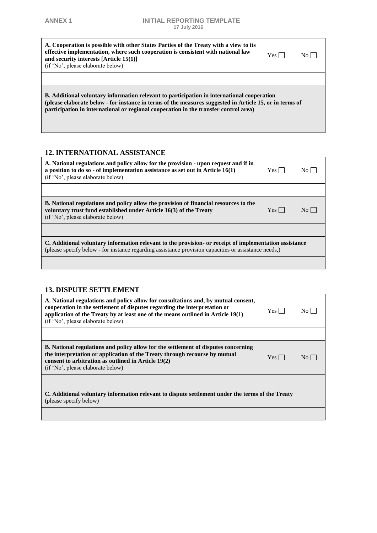| A. Cooperation is possible with other States Parties of the Treaty with a view to its<br>effective implementation, where such cooperation is consistent with national law<br>and security interests $[Article 15(1)]$<br>(if 'No', please elaborate below)                                           | Yes l |  |
|------------------------------------------------------------------------------------------------------------------------------------------------------------------------------------------------------------------------------------------------------------------------------------------------------|-------|--|
|                                                                                                                                                                                                                                                                                                      |       |  |
| <b>B.</b> Additional voluntary information relevant to participation in international cooperation<br>(please elaborate below - for instance in terms of the measures suggested in Article 15, or in terms of<br>participation in international or regional cooperation in the transfer control area) |       |  |
|                                                                                                                                                                                                                                                                                                      |       |  |

# **12. INTERNATIONAL ASSISTANCE**

| A. National regulations and policy allow for the provision - upon request and if in<br>a position to do so - of implementation assistance as set out in Article $16(1)$<br>(if 'No', please elaborate below)   |     | No L |
|----------------------------------------------------------------------------------------------------------------------------------------------------------------------------------------------------------------|-----|------|
|                                                                                                                                                                                                                |     |      |
| <b>B.</b> National regulations and policy allow the provision of financial resources to the<br>voluntary trust fund established under Article 16(3) of the Treaty<br>(if 'No', please elaborate below)         | Yes | No L |
|                                                                                                                                                                                                                |     |      |
| C. Additional voluntary information relevant to the provision- or receipt of implementation assistance<br>(please specify below - for instance regarding assistance provision capacities or assistance needs,) |     |      |
|                                                                                                                                                                                                                |     |      |

# **13. DISPUTE SETTLEMENT**

| A. National regulations and policy allow for consultations and, by mutual consent,<br>cooperation in the settlement of disputes regarding the interpretation or<br>application of the Treaty by at least one of the means outlined in Article $19(1)$<br>(if 'No', please elaborate below) |       | No 1 |
|--------------------------------------------------------------------------------------------------------------------------------------------------------------------------------------------------------------------------------------------------------------------------------------------|-------|------|
|                                                                                                                                                                                                                                                                                            |       |      |
| B. National regulations and policy allow for the settlement of disputes concerning<br>the interpretation or application of the Treaty through recourse by mutual<br>consent to arbitration as outlined in Article 19(2)<br>(if 'No', please elaborate below)                               | Yes l | No I |
|                                                                                                                                                                                                                                                                                            |       |      |
| C. Additional voluntary information relevant to dispute settlement under the terms of the Treaty<br>(please specify below)                                                                                                                                                                 |       |      |
|                                                                                                                                                                                                                                                                                            |       |      |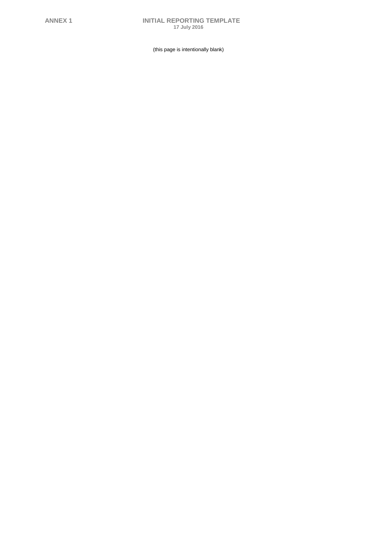(this page is intentionally blank)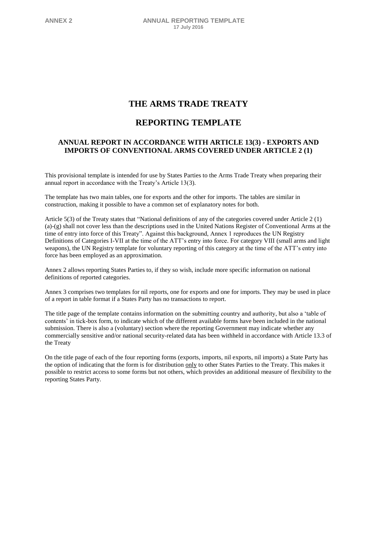# **THE ARMS TRADE TREATY**

# **REPORTING TEMPLATE**

#### **ANNUAL REPORT IN ACCORDANCE WITH ARTICLE 13(3) - EXPORTS AND IMPORTS OF CONVENTIONAL ARMS COVERED UNDER ARTICLE 2 (1)**

This provisional template is intended for use by States Parties to the Arms Trade Treaty when preparing their annual report in accordance with the Treaty's Article 13(3).

The template has two main tables, one for exports and the other for imports. The tables are similar in construction, making it possible to have a common set of explanatory notes for both.

Article 5(3) of the Treaty states that "National definitions of any of the categories covered under Article 2 (1) (a)-(g) shall not cover less than the descriptions used in the United Nations Register of Conventional Arms at the time of entry into force of this Treaty". Against this background, Annex 1 reproduces the UN Registry Definitions of Categories I-VII at the time of the ATT's entry into force. For category VIII (small arms and light weapons), the UN Registry template for voluntary reporting of this category at the time of the ATT's entry into force has been employed as an approximation.

Annex 2 allows reporting States Parties to, if they so wish, include more specific information on national definitions of reported categories.

Annex 3 comprises two templates for nil reports, one for exports and one for imports. They may be used in place of a report in table format if a States Party has no transactions to report.

The title page of the template contains information on the submitting country and authority, but also a 'table of contents' in tick-box form, to indicate which of the different available forms have been included in the national submission. There is also a (voluntary) section where the reporting Government may indicate whether any commercially sensitive and/or national security-related data has been withheld in accordance with Article 13.3 of the Treaty

On the title page of each of the four reporting forms (exports, imports, nil exports, nil imports) a State Party has the option of indicating that the form is for distribution only to other States Parties to the Treaty. This makes it possible to restrict access to some forms but not others, which provides an additional measure of flexibility to the reporting States Party.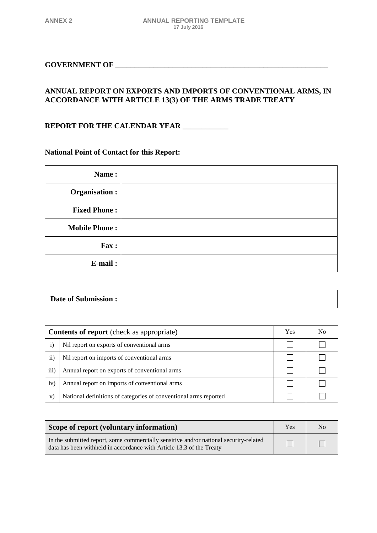# **GOVERNMENT OF \_\_\_\_\_\_\_\_\_\_\_\_\_\_\_\_\_\_\_\_\_\_\_\_\_\_\_\_\_\_\_\_\_\_\_\_\_\_\_\_\_\_\_\_\_\_\_\_\_\_\_\_\_\_\_\_**

# **ANNUAL REPORT ON EXPORTS AND IMPORTS OF CONVENTIONAL ARMS, IN ACCORDANCE WITH ARTICLE 13(3) OF THE ARMS TRADE TREATY**

**REPORT FOR THE CALENDAR YEAR \_\_\_\_\_\_\_\_\_\_\_\_**

**National Point of Contact for this Report:** 

| Name:                |  |
|----------------------|--|
| <b>Organisation:</b> |  |
| <b>Fixed Phone:</b>  |  |
| <b>Mobile Phone:</b> |  |
| <b>Fax:</b>          |  |
| E-mail:              |  |

| Date of Submission : |  |
|----------------------|--|
|----------------------|--|

|                  | <b>Contents of report</b> (check as appropriate)                 | Yes | No |
|------------------|------------------------------------------------------------------|-----|----|
| $\mathbf{i}$     | Nil report on exports of conventional arms                       |     |    |
| $\rm ii)$        | Nil report on imports of conventional arms                       |     |    |
| $\overline{111}$ | Annual report on exports of conventional arms                    |     |    |
| iv)              | Annual report on imports of conventional arms                    |     |    |
| V)               | National definitions of categories of conventional arms reported |     |    |

| Scope of report (voluntary information)                                                                                                                       | Yes | $\rm No$ |
|---------------------------------------------------------------------------------------------------------------------------------------------------------------|-----|----------|
| In the submitted report, some commercially sensitive and/or national security-related<br>data has been withheld in accordance with Article 13.3 of the Treaty |     |          |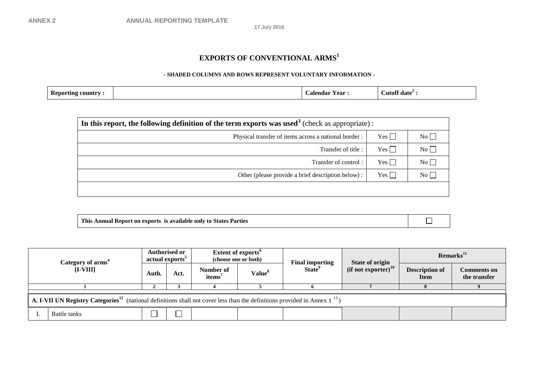# **EXPORTS OF CONVENTIONAL ARMS<sup>1</sup>**

#### **- SHADED COLUMNS AND ROWS REPRESENT VOLUNTARY INFORMATION -**

| $\mathbf{r}$<br>country<br>Reporting c |  | <b>Year</b><br>_alendar | <b>DC</b><br>. date<br>∴utot |
|----------------------------------------|--|-------------------------|------------------------------|
|----------------------------------------|--|-------------------------|------------------------------|

| In this report, the following definition of the term exports was used <sup>3</sup> (check as appropriate) : |                  |    |  |  |  |
|-------------------------------------------------------------------------------------------------------------|------------------|----|--|--|--|
| Physical transfer of items across a national border:                                                        | $Yes \mid \mid$  | No |  |  |  |
| Transfer of title:                                                                                          | Yes              | No |  |  |  |
| Transfer of control:                                                                                        | Yes              | No |  |  |  |
| Other (please provide a brief description below) :                                                          | $Yes \mid \cdot$ | No |  |  |  |
|                                                                                                             |                  |    |  |  |  |

| This<br>Annual Report on exports is available only to States F.<br><b>Parties</b> |  |
|-----------------------------------------------------------------------------------|--|
|-----------------------------------------------------------------------------------|--|

|                                                                                                                                                   | Category of arms <sup>4</sup> | <b>Authorised or</b><br>actual exports <sup>3</sup> |                                 | Extent of exports <sup>6</sup><br>(choose one or both) |                           | <b>Final importing</b>    | State of origin                      | Remarks <sup>11</sup>              |  |
|---------------------------------------------------------------------------------------------------------------------------------------------------|-------------------------------|-----------------------------------------------------|---------------------------------|--------------------------------------------------------|---------------------------|---------------------------|--------------------------------------|------------------------------------|--|
| $[I-VIII]$                                                                                                                                        | Auth.                         | Act.                                                | Number of<br>items <sup>7</sup> | Value <sup>8</sup>                                     | <b>State</b> <sup>9</sup> | (if not exporter) $^{10}$ | <b>Description of</b><br><b>Item</b> | <b>Comments on</b><br>the transfer |  |
|                                                                                                                                                   |                               |                                                     |                                 |                                                        |                           |                           |                                      |                                    |  |
| <b>A. I-VII UN Registry Categories</b> <sup>12</sup> (national definitions shall not cover less than the definitions provided in Annex $1^{13}$ ) |                               |                                                     |                                 |                                                        |                           |                           |                                      |                                    |  |
|                                                                                                                                                   | <b>Battle tanks</b>           |                                                     |                                 |                                                        |                           |                           |                                      |                                    |  |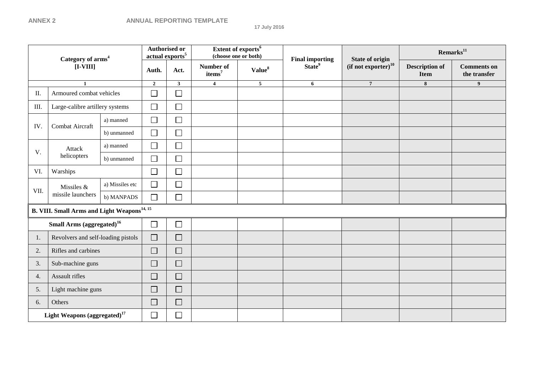| Category of arms <sup>4</sup><br>$[I-VIII]$ |                                                         | <b>Authorised or</b><br>actual exports <sup>5</sup> |                | Extent of exports <sup>6</sup><br>(choose one or both) |                    | <b>Final importing</b> | <b>State of origin</b>                      | $\mathrm{Remarks}^{11}$              |                                    |   |
|---------------------------------------------|---------------------------------------------------------|-----------------------------------------------------|----------------|--------------------------------------------------------|--------------------|------------------------|---------------------------------------------|--------------------------------------|------------------------------------|---|
|                                             |                                                         | Auth.                                               | Act.           | Number of<br>items <sup>7</sup>                        | Value <sup>8</sup> | State <sup>9</sup>     | $(if not \text{ exper}^{\mathcal{O}})^{10}$ | <b>Description of</b><br><b>Item</b> | <b>Comments</b> on<br>the transfer |   |
|                                             | $\mathbf{1}$                                            |                                                     | $\overline{2}$ | $\overline{\mathbf{3}}$                                | $\overline{4}$     | $\overline{5}$         | 6                                           | $\overline{7}$                       | 8                                  | 9 |
| Π.                                          | Armoured combat vehicles                                |                                                     | П              | $\Box$                                                 |                    |                        |                                             |                                      |                                    |   |
| III.                                        | Large-calibre artillery systems                         |                                                     | $\Box$         | $\Box$                                                 |                    |                        |                                             |                                      |                                    |   |
| IV.                                         | Combat Aircraft                                         | a) manned                                           | $\Box$         | $\Box$                                                 |                    |                        |                                             |                                      |                                    |   |
|                                             |                                                         | b) unmanned                                         | П              | $\Box$                                                 |                    |                        |                                             |                                      |                                    |   |
| V.                                          | Attack                                                  | a) manned                                           | $\Box$         | $\Box$                                                 |                    |                        |                                             |                                      |                                    |   |
|                                             | helicopters                                             | b) unmanned                                         | $\Box$         | $\Box$                                                 |                    |                        |                                             |                                      |                                    |   |
| VI.                                         | Warships                                                |                                                     | П              | $\Box$                                                 |                    |                        |                                             |                                      |                                    |   |
| VII.                                        | Missiles &                                              | a) Missiles etc                                     | $\Box$         | $\Box$                                                 |                    |                        |                                             |                                      |                                    |   |
|                                             | missile launchers                                       | b) MANPADS                                          | $\Box$         | $\Box$                                                 |                    |                        |                                             |                                      |                                    |   |
|                                             | B. VIII. Small Arms and Light Weapons <sup>14, 15</sup> |                                                     |                |                                                        |                    |                        |                                             |                                      |                                    |   |
|                                             | <b>Small Arms</b> (aggregated) <sup>16</sup>            |                                                     | $\Box$         | $\Box$                                                 |                    |                        |                                             |                                      |                                    |   |
| 1.                                          | Revolvers and self-loading pistols                      |                                                     | $\Box$         | $\Box$                                                 |                    |                        |                                             |                                      |                                    |   |
| 2.                                          | Rifles and carbines                                     |                                                     | $\Box$         | $\Box$                                                 |                    |                        |                                             |                                      |                                    |   |
| 3.                                          | Sub-machine guns                                        |                                                     | $\Box$         | $\Box$                                                 |                    |                        |                                             |                                      |                                    |   |
| 4.                                          | Assault rifles                                          |                                                     | $\Box$         | $\Box$                                                 |                    |                        |                                             |                                      |                                    |   |
| 5.                                          | Light machine guns                                      |                                                     | $\Box$         | $\Box$                                                 |                    |                        |                                             |                                      |                                    |   |
| Others<br>6.                                |                                                         | $\Box$                                              | $\Box$         |                                                        |                    |                        |                                             |                                      |                                    |   |
|                                             | Light Weapons (aggregated) <sup>17</sup>                |                                                     | $\Box$         | $\overline{\phantom{a}}$                               |                    |                        |                                             |                                      |                                    |   |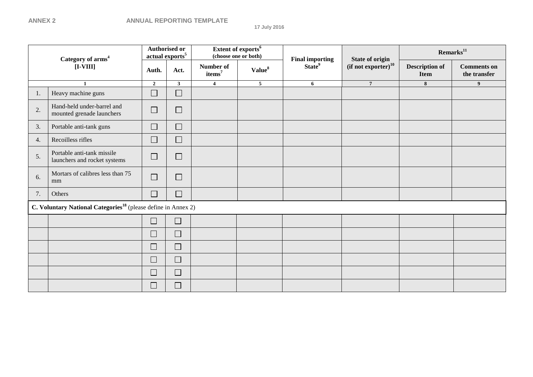| Category of arms <sup>4</sup><br>$[I-VIII]$ |                                                                           | <b>Authorised or</b><br>actual exports <sup>5</sup> |              | Extent of exports <sup>6</sup><br>(choose one or both) |                    |                                       | <b>State of origin</b>             | $\mathrm{Remarks}^{11}$              |                                    |
|---------------------------------------------|---------------------------------------------------------------------------|-----------------------------------------------------|--------------|--------------------------------------------------------|--------------------|---------------------------------------|------------------------------------|--------------------------------------|------------------------------------|
|                                             |                                                                           | Auth.                                               | Act.         | Number of<br>items <sup>7</sup>                        | Value <sup>8</sup> | Final importing<br>State <sup>9</sup> | $(i$ f not exporter) <sup>10</sup> | <b>Description of</b><br><b>Item</b> | <b>Comments</b> on<br>the transfer |
|                                             | 1                                                                         | $\overline{2}$                                      | $\mathbf{3}$ | $\overline{4}$                                         | 5                  | 6                                     | $7\phantom{.0}$                    | 8                                    | 9                                  |
| -1.                                         | Heavy machine guns                                                        | $\mathcal{L}$                                       | $\Box$       |                                                        |                    |                                       |                                    |                                      |                                    |
| $\overline{2}$ .                            | Hand-held under-barrel and<br>mounted grenade launchers                   | $\Box$                                              | $\Box$       |                                                        |                    |                                       |                                    |                                      |                                    |
| 3.                                          | Portable anti-tank guns                                                   | $\Box$                                              | $\Box$       |                                                        |                    |                                       |                                    |                                      |                                    |
| 4.                                          | Recoilless rifles                                                         | $\Box$                                              | $\Box$       |                                                        |                    |                                       |                                    |                                      |                                    |
| 5.                                          | Portable anti-tank missile<br>launchers and rocket systems                | $\mathcal{L}_{\mathcal{A}}$                         | $\Box$       |                                                        |                    |                                       |                                    |                                      |                                    |
| 6.                                          | Mortars of calibres less than 75<br>mm                                    | $\Box$                                              | $\Box$       |                                                        |                    |                                       |                                    |                                      |                                    |
| 7.                                          | Others                                                                    | $\Box$                                              | $\Box$       |                                                        |                    |                                       |                                    |                                      |                                    |
|                                             | C. Voluntary National Categories <sup>18</sup> (please define in Annex 2) |                                                     |              |                                                        |                    |                                       |                                    |                                      |                                    |
|                                             |                                                                           | $\Box$                                              | $\Box$       |                                                        |                    |                                       |                                    |                                      |                                    |
|                                             |                                                                           |                                                     | $\Box$       |                                                        |                    |                                       |                                    |                                      |                                    |
|                                             |                                                                           | $\Box$                                              | $\Box$       |                                                        |                    |                                       |                                    |                                      |                                    |
|                                             |                                                                           | П                                                   | $\Box$       |                                                        |                    |                                       |                                    |                                      |                                    |
|                                             |                                                                           | $\Box$                                              | $\Box$       |                                                        |                    |                                       |                                    |                                      |                                    |
|                                             |                                                                           | $\mathcal{L}_{\mathcal{A}}$                         | a.           |                                                        |                    |                                       |                                    |                                      |                                    |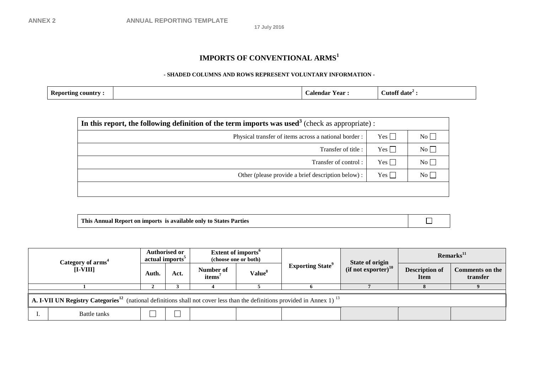# **IMPORTS OF CONVENTIONAL ARMS<sup>1</sup>**

#### **- SHADED COLUMNS AND ROWS REPRESENT VOLUNTARY INFORMATION -**

| $\mathbf{r}$<br><b>Reporting</b><br>country |  | Lalendar<br>r ear | $\theta$<br>. date<br>. utot |
|---------------------------------------------|--|-------------------|------------------------------|
|---------------------------------------------|--|-------------------|------------------------------|

| In this report, the following definition of the term imports was used <sup>3</sup> (check as appropriate) : |                 |    |  |  |  |
|-------------------------------------------------------------------------------------------------------------|-----------------|----|--|--|--|
| Physical transfer of items across a national border :                                                       | $Yes \mid \mid$ | No |  |  |  |
| Transfer of title:                                                                                          | $Yes$           | No |  |  |  |
| Transfer of control:                                                                                        | $Yes$           | No |  |  |  |
| Other (please provide a brief description below):                                                           | $Yes$           | No |  |  |  |
|                                                                                                             |                 |    |  |  |  |

| This Annual Report on imports is available only to States Parties |  |
|-------------------------------------------------------------------|--|
|                                                                   |  |

| Category of arms <sup>4</sup><br>$[I-VIII]$ |                                                                                                                                                         | <b>Authorised or</b><br>actual imports <sup>5</sup> |      | Extent of imports <sup>6</sup><br>(choose one or both) |                    |                        | <b>State of origin</b>    | Remarks <sup>11</sup>                |                                    |
|---------------------------------------------|---------------------------------------------------------------------------------------------------------------------------------------------------------|-----------------------------------------------------|------|--------------------------------------------------------|--------------------|------------------------|---------------------------|--------------------------------------|------------------------------------|
|                                             |                                                                                                                                                         | Auth.                                               | Act. | Number of<br>items'                                    | Value <sup>8</sup> | <b>Exporting State</b> | (if not exporter) $^{10}$ | <b>Description of</b><br><b>Item</b> | <b>Comments on the</b><br>transfer |
|                                             |                                                                                                                                                         |                                                     |      |                                                        |                    |                        |                           |                                      |                                    |
|                                             | <b>A. I-VII UN Registry Categories</b> <sup>12</sup> (national definitions shall not cover less than the definitions provided in Annex 1) <sup>13</sup> |                                                     |      |                                                        |                    |                        |                           |                                      |                                    |
|                                             | Battle tanks                                                                                                                                            |                                                     |      |                                                        |                    |                        |                           |                                      |                                    |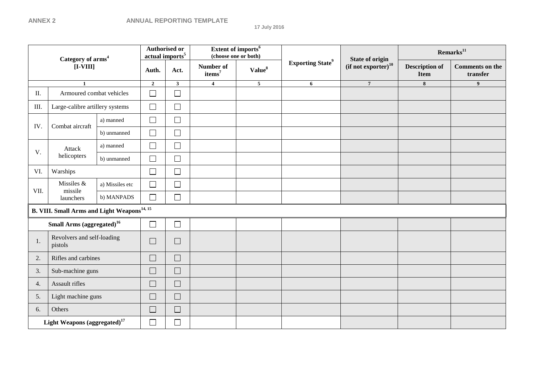|                                          | Category of arms <sup>4</sup>                                  |                 |                             | <b>Authorised or</b><br>actual imports <sup>5</sup> | Extent of imports <sup>6</sup><br>(choose one or both) |                    |                                    | <b>State of origin</b>    | $\mathrm{Remarks}^{11}$              |                                    |
|------------------------------------------|----------------------------------------------------------------|-----------------|-----------------------------|-----------------------------------------------------|--------------------------------------------------------|--------------------|------------------------------------|---------------------------|--------------------------------------|------------------------------------|
|                                          | $[I-VIII]$                                                     |                 | Auth.                       | Act.                                                | Number of<br>items $7$                                 | Value <sup>8</sup> | <b>Exporting State<sup>9</sup></b> | $(i$ f not exporter) $10$ | <b>Description of</b><br><b>Item</b> | <b>Comments on the</b><br>transfer |
|                                          | $\mathbf{1}$                                                   |                 | $\overline{2}$              | $\overline{\mathbf{3}}$                             | $\overline{4}$                                         | $\overline{5}$     | $\overline{6}$                     | $\overline{7}$            | $\overline{\mathbf{8}}$              | $\overline{9}$                     |
| II.                                      | Armoured combat vehicles                                       |                 | $\Box$                      | $\Box$                                              |                                                        |                    |                                    |                           |                                      |                                    |
| III.                                     | Large-calibre artillery systems                                |                 | $\Box$                      | $\Box$                                              |                                                        |                    |                                    |                           |                                      |                                    |
| IV.                                      | Combat aircraft                                                | a) manned       | $\Box$                      | $\Box$                                              |                                                        |                    |                                    |                           |                                      |                                    |
|                                          |                                                                | b) unmanned     | $\Box$                      | $\Box$                                              |                                                        |                    |                                    |                           |                                      |                                    |
| V.                                       | Attack                                                         | a) manned       | $\Box$                      | $\Box$                                              |                                                        |                    |                                    |                           |                                      |                                    |
|                                          | helicopters                                                    | b) unmanned     | $\Box$                      | $\Box$                                              |                                                        |                    |                                    |                           |                                      |                                    |
| VI.                                      | Warships                                                       |                 | $\Box$                      | $\Box$                                              |                                                        |                    |                                    |                           |                                      |                                    |
|                                          | Missiles &<br>VII.<br>missile<br>launchers                     | a) Missiles etc | $\mathcal{L}_{\mathcal{A}}$ | $\Box$                                              |                                                        |                    |                                    |                           |                                      |                                    |
|                                          |                                                                | b) MANPADS      | $\Box$                      | $\Box$                                              |                                                        |                    |                                    |                           |                                      |                                    |
|                                          | <b>B. VIII. Small Arms and Light Weapons</b> <sup>14, 15</sup> |                 |                             |                                                     |                                                        |                    |                                    |                           |                                      |                                    |
|                                          | Small Arms (aggregated) <sup>16</sup>                          |                 | $\Box$                      | $\Box$                                              |                                                        |                    |                                    |                           |                                      |                                    |
| 1.                                       | Revolvers and self-loading<br>pistols                          |                 | $\Box$                      | $\Box$                                              |                                                        |                    |                                    |                           |                                      |                                    |
| 2.                                       | Rifles and carbines                                            |                 | $\Box$                      | $\Box$                                              |                                                        |                    |                                    |                           |                                      |                                    |
| 3.                                       | Sub-machine guns                                               |                 | $\Box$                      | $\Box$                                              |                                                        |                    |                                    |                           |                                      |                                    |
| 4.                                       | Assault rifles                                                 |                 | $\Box$                      | $\Box$                                              |                                                        |                    |                                    |                           |                                      |                                    |
| 5.                                       | Light machine guns                                             |                 | $\Box$                      | $\Box$                                              |                                                        |                    |                                    |                           |                                      |                                    |
| 6.                                       | Others                                                         |                 | $\Box$                      | $\Box$                                              |                                                        |                    |                                    |                           |                                      |                                    |
| Light Weapons (aggregated) <sup>17</sup> |                                                                | $\Box$          | $\Box$                      |                                                     |                                                        |                    |                                    |                           |                                      |                                    |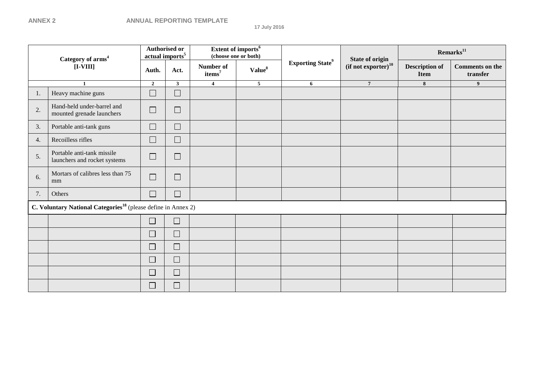|            | Category of arms <sup>4</sup>                                             |                             | <b>Authorised or</b><br>actual imports <sup>5</sup> | Extent of imports <sup>6</sup><br>(choose one or both) |                    | <b>Exporting State</b> <sup>9</sup> | <b>State of origin</b><br>$(if not \text{ exporter})^{10}$ | $\mathrm{Remarks}^{11}$              |                                    |
|------------|---------------------------------------------------------------------------|-----------------------------|-----------------------------------------------------|--------------------------------------------------------|--------------------|-------------------------------------|------------------------------------------------------------|--------------------------------------|------------------------------------|
| $[I-VIII]$ |                                                                           | Auth.                       | Act.                                                | Number of<br>items $7$                                 | Value <sup>8</sup> |                                     |                                                            | <b>Description of</b><br><b>Item</b> | <b>Comments</b> on the<br>transfer |
|            | 1                                                                         | $\overline{2}$              | $\mathbf{3}$                                        | $\overline{4}$                                         | $\overline{5}$     | 6                                   | $7\overline{ }$                                            | 8                                    | 9                                  |
| 1.         | Heavy machine guns                                                        | $\overline{\phantom{a}}$    | $\Box$                                              |                                                        |                    |                                     |                                                            |                                      |                                    |
| 2.         | Hand-held under-barrel and<br>mounted grenade launchers                   | $\Box$                      | $\Box$                                              |                                                        |                    |                                     |                                                            |                                      |                                    |
| 3.         | Portable anti-tank guns                                                   | $\Box$                      | $\Box$                                              |                                                        |                    |                                     |                                                            |                                      |                                    |
| 4.         | Recoilless rifles                                                         | $\Box$                      | $\Box$                                              |                                                        |                    |                                     |                                                            |                                      |                                    |
| 5.         | Portable anti-tank missile<br>launchers and rocket systems                | $\Box$                      | $\Box$                                              |                                                        |                    |                                     |                                                            |                                      |                                    |
| 6.         | Mortars of calibres less than 75<br>mm                                    | $\Box$                      | $\Box$                                              |                                                        |                    |                                     |                                                            |                                      |                                    |
| 7.         | Others                                                                    | $\Box$                      | $\Box$                                              |                                                        |                    |                                     |                                                            |                                      |                                    |
|            | C. Voluntary National Categories <sup>18</sup> (please define in Annex 2) |                             |                                                     |                                                        |                    |                                     |                                                            |                                      |                                    |
|            |                                                                           | $\Box$                      | $\Box$                                              |                                                        |                    |                                     |                                                            |                                      |                                    |
|            |                                                                           | $\Box$                      | $\Box$                                              |                                                        |                    |                                     |                                                            |                                      |                                    |
|            |                                                                           | $\Box$                      | $\Box$                                              |                                                        |                    |                                     |                                                            |                                      |                                    |
|            |                                                                           | $\Box$                      | $\Box$                                              |                                                        |                    |                                     |                                                            |                                      |                                    |
|            |                                                                           | l.                          | $\mathcal{L}_{\mathcal{A}}$                         |                                                        |                    |                                     |                                                            |                                      |                                    |
|            |                                                                           | $\mathcal{L}_{\mathcal{A}}$ | $\mathbf{L}$                                        |                                                        |                    |                                     |                                                            |                                      |                                    |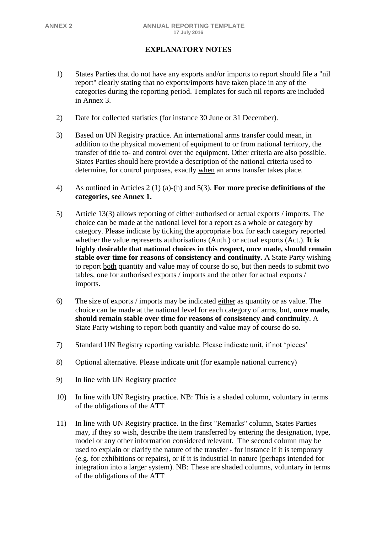# **EXPLANATORY NOTES**

- 1) States Parties that do not have any exports and/or imports to report should file a "nil report" clearly stating that no exports/imports have taken place in any of the categories during the reporting period. Templates for such nil reports are included in Annex 3.
- 2) Date for collected statistics (for instance 30 June or 31 December).
- 3) Based on UN Registry practice. An international arms transfer could mean, in addition to the physical movement of equipment to or from national territory, the transfer of title to- and control over the equipment. Other criteria are also possible. States Parties should here provide a description of the national criteria used to determine, for control purposes, exactly when an arms transfer takes place.
- 4) As outlined in Articles 2 (1) (a)-(h) and 5(3). **For more precise definitions of the categories, see Annex 1.**
- 5) Article 13(3) allows reporting of either authorised or actual exports / imports. The choice can be made at the national level for a report as a whole or category by category. Please indicate by ticking the appropriate box for each category reported whether the value represents authorisations (Auth.) or actual exports (Act.). **It is highly desirable that national choices in this respect, once made, should remain stable over time for reasons of consistency and continuity.** A State Party wishing to report both quantity and value may of course do so, but then needs to submit two tables, one for authorised exports / imports and the other for actual exports / imports.
- 6) The size of exports / imports may be indicated either as quantity or as value. The choice can be made at the national level for each category of arms, but, **once made, should remain stable over time for reasons of consistency and continuity**. A State Party wishing to report both quantity and value may of course do so.
- 7) Standard UN Registry reporting variable. Please indicate unit, if not 'pieces'
- 8) Optional alternative. Please indicate unit (for example national currency)
- 9) In line with UN Registry practice
- 10) In line with UN Registry practice. NB: This is a shaded column, voluntary in terms of the obligations of the ATT
- 11) In line with UN Registry practice. In the first "Remarks" column, States Parties may, if they so wish, describe the item transferred by entering the designation, type, model or any other information considered relevant. The second column may be used to explain or clarify the nature of the transfer - for instance if it is temporary (e.g. for exhibitions or repairs), or if it is industrial in nature (perhaps intended for integration into a larger system). NB: These are shaded columns, voluntary in terms of the obligations of the ATT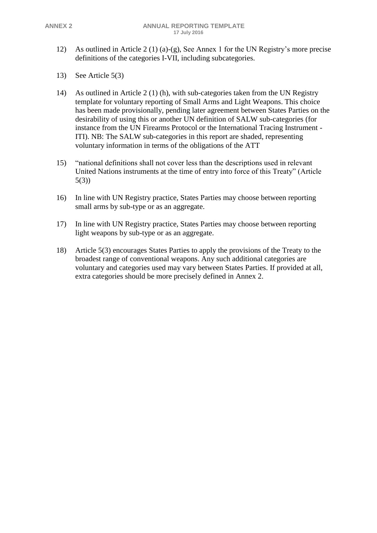- 12) As outlined in Article 2 (1) (a)-(g), See Annex 1 for the UN Registry's more precise definitions of the categories I-VII, including subcategories.
- 13) See Article 5(3)
- 14) As outlined in Article 2 (1) (h), with sub-categories taken from the UN Registry template for voluntary reporting of Small Arms and Light Weapons. This choice has been made provisionally, pending later agreement between States Parties on the desirability of using this or another UN definition of SALW sub-categories (for instance from the UN Firearms Protocol or the International Tracing Instrument - ITI). NB: The SALW sub-categories in this report are shaded, representing voluntary information in terms of the obligations of the ATT
- 15) "national definitions shall not cover less than the descriptions used in relevant United Nations instruments at the time of entry into force of this Treaty" (Article 5(3))
- 16) In line with UN Registry practice, States Parties may choose between reporting small arms by sub-type or as an aggregate.
- 17) In line with UN Registry practice, States Parties may choose between reporting light weapons by sub-type or as an aggregate.
- 18) Article 5(3) encourages States Parties to apply the provisions of the Treaty to the broadest range of conventional weapons. Any such additional categories are voluntary and categories used may vary between States Parties. If provided at all, extra categories should be more precisely defined in Annex 2.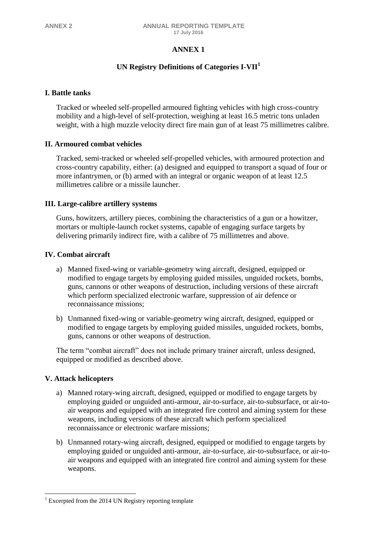# **ANNEX 1**

# **UN Registry Definitions of Categories I-VII<sup>1</sup>**

#### **I. Battle tanks**

Tracked or wheeled self-propelled armoured fighting vehicles with high cross-country mobility and a high-level of self-protection, weighing at least 16.5 metric tons unladen weight, with a high muzzle velocity direct fire main gun of at least 75 millimetres calibre.

#### **II. Armoured combat vehicles**

Tracked, semi-tracked or wheeled self-propelled vehicles, with armoured protection and cross-country capability, either: (a) designed and equipped to transport a squad of four or more infantrymen, or (b) armed with an integral or organic weapon of at least 12.5 millimetres calibre or a missile launcher.

### **III. Large-calibre artillery systems**

Guns, howitzers, artillery pieces, combining the characteristics of a gun or a howitzer, mortars or multiple-launch rocket systems, capable of engaging surface targets by delivering primarily indirect fire, with a calibre of 75 millimetres and above.

#### **IV. Combat aircraft**

- a) Manned fixed-wing or variable-geometry wing aircraft, designed, equipped or modified to engage targets by employing guided missiles, unguided rockets, bombs, guns, cannons or other weapons of destruction, including versions of these aircraft which perform specialized electronic warfare, suppression of air defence or reconnaissance missions;
- b) Unmanned fixed-wing or variable-geometry wing aircraft, designed, equipped or modified to engage targets by employing guided missiles, unguided rockets, bombs, guns, cannons or other weapons of destruction.

The term "combat aircraft" does not include primary trainer aircraft, unless designed, equipped or modified as described above.

### **V. Attack helicopters**

 $\overline{a}$ 

- a) Manned rotary-wing aircraft, designed, equipped or modified to engage targets by employing guided or unguided anti-armour, air-to-surface, air-to-subsurface, or air-toair weapons and equipped with an integrated fire control and aiming system for these weapons, including versions of these aircraft which perform specialized reconnaissance or electronic warfare missions;
- b) Unmanned rotary-wing aircraft, designed, equipped or modified to engage targets by employing guided or unguided anti-armour, air-to-surface, air-to-subsurface, or air-toair weapons and equipped with an integrated fire control and aiming system for these weapons.

 $1$  Excerpted from the 2014 UN Registry reporting template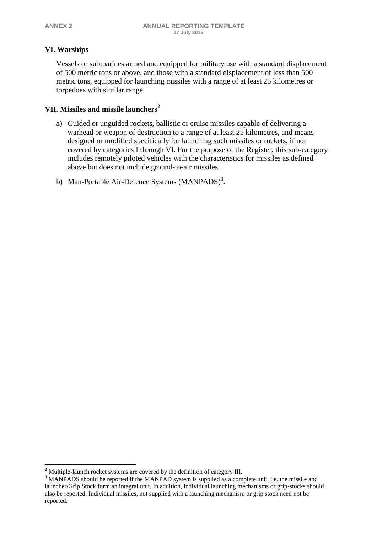# **VI. Warships**

Vessels or submarines armed and equipped for military use with a standard displacement of 500 metric tons or above, and those with a standard displacement of less than 500 metric tons, equipped for launching missiles with a range of at least 25 kilometres or torpedoes with similar range.

## **VII. Missiles and missile launchers<sup>2</sup>**

- a) Guided or unguided rockets, ballistic or cruise missiles capable of delivering a warhead or weapon of destruction to a range of at least 25 kilometres, and means designed or modified specifically for launching such missiles or rockets, if not covered by categories I through VI. For the purpose of the Register, this sub-category includes remotely piloted vehicles with the characteristics for missiles as defined above but does not include ground-to-air missiles.
- b) Man-Portable Air-Defence Systems (MANPADS)<sup>3</sup>.

 $\overline{a}$ **<sup>2</sup>** Multiple-launch rocket systems are covered by the definition of category III.

<sup>&</sup>lt;sup>3</sup> MANPADS should be reported if the MANPAD system is supplied as a complete unit, i.e. the missile and launcher/Grip Stock form an integral unit. In addition, individual launching mechanisms or grip-stocks should also be reported. Individual missiles, not supplied with a launching mechanism or grip stock need not be reported.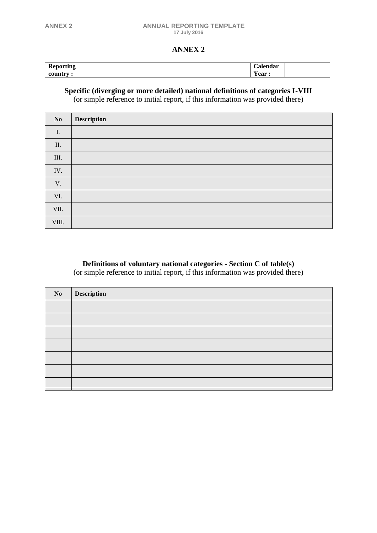## **ANNEX 2**

| Reporting<br>o | -<br>Calendar |  |
|----------------|---------------|--|
| country        | $-$<br>rear:  |  |

## **Specific (diverging or more detailed) national definitions of categories I-VIII**

(or simple reference to initial report, if this information was provided there)

| No    | <b>Description</b> |
|-------|--------------------|
| I.    |                    |
| II.   |                    |
| III.  |                    |
| IV.   |                    |
| V.    |                    |
| VI.   |                    |
| VII.  |                    |
| VIII. |                    |

# **Definitions of voluntary national categories - Section C of table(s)**

(or simple reference to initial report, if this information was provided there)

| No | <b>Description</b> |
|----|--------------------|
|    |                    |
|    |                    |
|    |                    |
|    |                    |
|    |                    |
|    |                    |
|    |                    |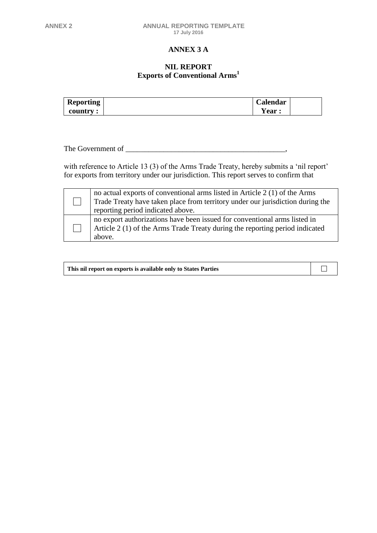# **ANNEX 3 A**

# **NIL REPORT Exports of Conventional Arms<sup>1</sup>**

| <b>Reporting</b> | Calendar      |  |
|------------------|---------------|--|
| country :        | <b>Year :</b> |  |

The Government of \_\_\_\_\_\_\_\_\_\_\_\_\_\_\_\_\_\_\_\_\_\_\_\_\_\_\_\_\_\_\_\_\_\_\_\_\_\_\_\_\_\_,

with reference to Article 13 (3) of the Arms Trade Treaty, hereby submits a 'nil report' for exports from territory under our jurisdiction. This report serves to confirm that

| no actual exports of conventional arms listed in Article 2 (1) of the Arms<br>Trade Treaty have taken place from territory under our jurisdiction during the<br>reporting period indicated above. |
|---------------------------------------------------------------------------------------------------------------------------------------------------------------------------------------------------|
| no export authorizations have been issued for conventional arms listed in<br>Article 2 (1) of the Arms Trade Treaty during the reporting period indicated<br>above.                               |

| This nil report on exports is available only to States Parties |  |
|----------------------------------------------------------------|--|
|                                                                |  |